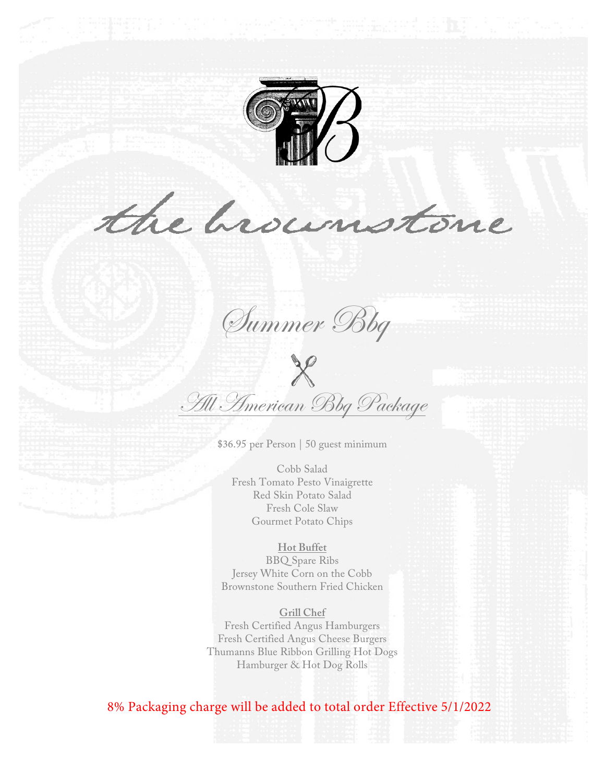

the brownstone

Summer Bbq

 $\chi$ All American Bbg Package

\$36.95 per Person | 50 guest minimum

Cobb Salad Fresh Tomato Pesto Vinaigrette Red Skin Potato Salad Fresh Cole Slaw Gourmet Potato Chips

#### **Hot Buffet**

BBQ Spare Ribs Jersey White Corn on the Cobb Brownstone Southern Fried Chicken

**Grill Chef** Fresh Certified Angus Hamburgers Fresh Certified Angus Cheese Burgers Thumanns Blue Ribbon Grilling Hot Dogs Hamburger & Hot Dog Rolls

## 8% Packaging charge will be added to total order Effective 5/1/2022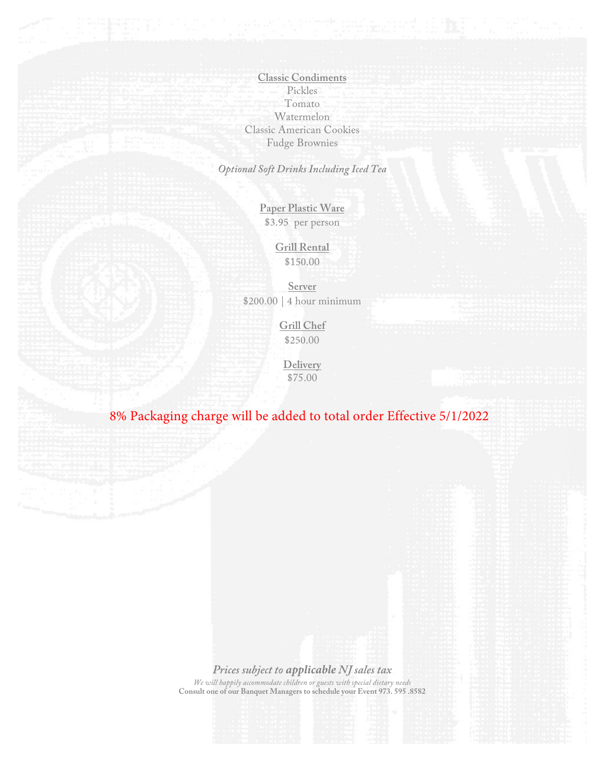**Classic Condiments** Pickles Tomato Watermelon Classic American Cookies Fudge Brownies

*Optional Soft Drinks Including Iced Tea*

**Paper Plastic Ware** \$3.95 per person

> **Grill Rental** \$150.00

**Server** \$200.00 | 4 hour minimum

> **Grill Chef** \$250.00

**Delivery**  \$75.00

# 8% Packaging charge will be added to total order Effective 5/1/2022

*Prices subject to applicable NJ sales tax We will happily accommodate children or guests with special dietary needs* **Consult one of our Banquet Managers to schedule your Event 973. 595 .8582**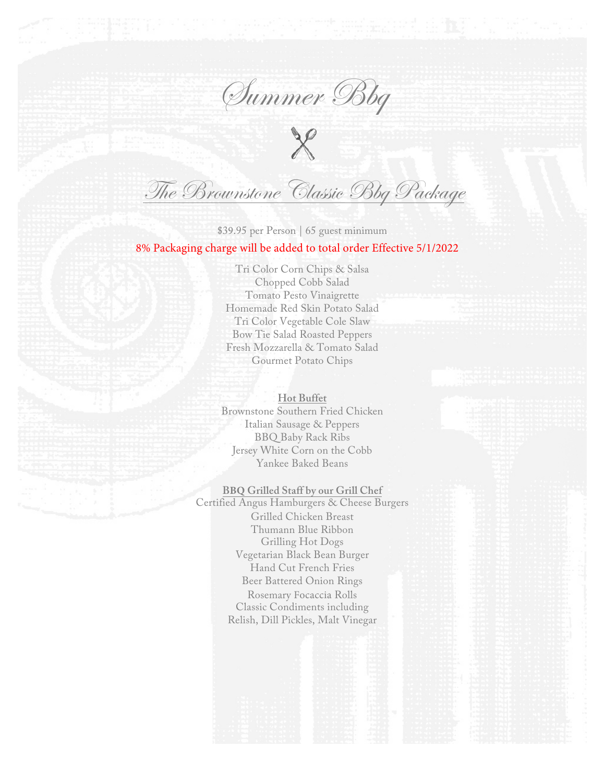Summer Bbq

 $\chi$ 

The Brownstone Classic Bbg Package

\$39.95 per Person | 65 guest minimum 8% Packaging charge will be added to total order Effective 5/1/2022

> Tri Color Corn Chips & Salsa Chopped Cobb Salad Tomato Pesto Vinaigrette Homemade Red Skin Potato Salad Tri Color Vegetable Cole Slaw Bow Tie Salad Roasted Peppers Fresh Mozzarella & Tomato Salad Gourmet Potato Chips

**Hot Buffet** Brownstone Southern Fried Chicken Italian Sausage & Peppers BBQ Baby Rack Ribs Jersey White Corn on the Cobb Yankee Baked Beans

**BBQ Grilled Staff by our Grill Chef** Certified Angus Hamburgers & Cheese Burgers Grilled Chicken Breast Thumann Blue Ribbon Grilling Hot Dogs Vegetarian Black Bean Burger Hand Cut French Fries Beer Battered Onion Rings

Rosemary Focaccia Rolls Classic Condiments including Relish, Dill Pickles, Malt Vinegar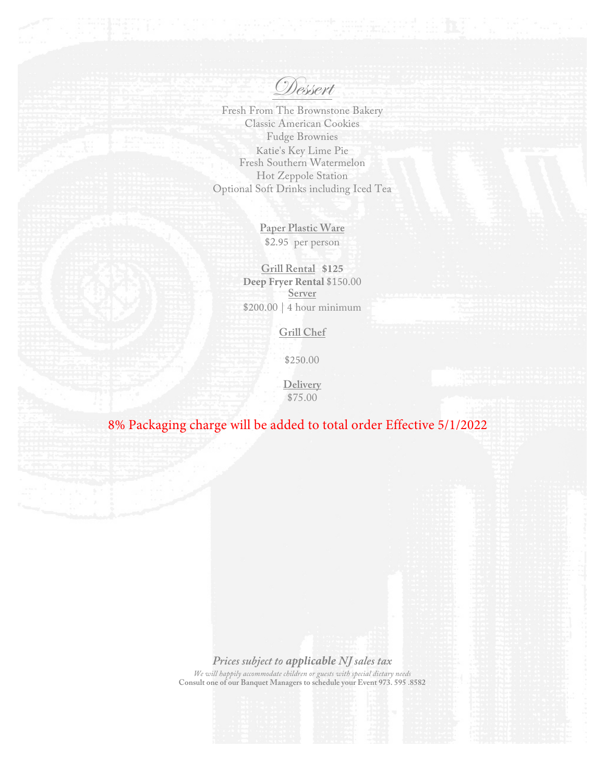Dessert

Fresh From The Brownstone Bakery Classic American Cookies Fudge Brownies Katie's Key Lime Pie Fresh Southern Watermelon Hot Zeppole Station Optional Soft Drinks including Iced Tea

> **Paper Plastic Ware** \$2.95 per person

**Grill Rental \$125 Deep Fryer Rental** \$150.00 **Server**  \$200.00 | 4 hour minimum

**Grill Chef**

\$250.00

**Delivery**  \$75.00

# 8% Packaging charge will be added to total order Effective 5/1/2022

### *Prices subject to applicable NJ sales tax*

*We will happily accommodate children or guests with special dietary needs* **Consult one of our Banquet Managers to schedule your Event 973. 595 .8582**